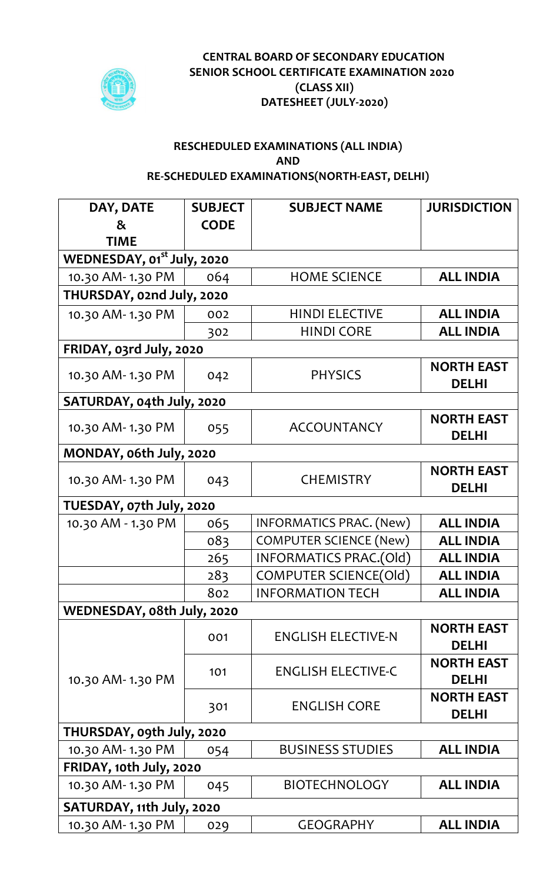

## **CENTRAL BOARD OF SECONDARY EDUCATION SENIOR SCHOOL CERTIFICATE EXAMINATION 2020 (CLASS XII) DATESHEET (JULY-2020)**

## **RESCHEDULED EXAMINATIONS (ALL INDIA) AND RE-SCHEDULED EXAMINATIONS(NORTH-EAST, DELHI)**

| DAY, DATE<br>$\boldsymbol{\alpha}$<br><b>TIME</b> | <b>SUBJECT</b><br><b>CODE</b> | <b>SUBJECT NAME</b>           | <b>JURISDICTION</b>               |  |
|---------------------------------------------------|-------------------------------|-------------------------------|-----------------------------------|--|
| WEDNESDAY, 01 <sup>st</sup> July, 2020            |                               |                               |                                   |  |
| 10.30 AM-1.30 PM                                  | 064                           | <b>HOME SCIENCE</b>           | <b>ALL INDIA</b>                  |  |
| THURSDAY, 02nd July, 2020                         |                               |                               |                                   |  |
| 10.30 AM-1.30 PM                                  | 002                           | <b>HINDI ELECTIVE</b>         | <b>ALL INDIA</b>                  |  |
|                                                   | 302                           | <b>HINDI CORE</b>             | <b>ALL INDIA</b>                  |  |
| FRIDAY, 03rd July, 2020                           |                               |                               |                                   |  |
| 10.30 AM-1.30 PM                                  | 042                           | <b>PHYSICS</b>                | <b>NORTH EAST</b><br><b>DELHI</b> |  |
| SATURDAY, 04th July, 2020                         |                               |                               |                                   |  |
| 10.30 AM-1.30 PM                                  | 055                           | <b>ACCOUNTANCY</b>            | <b>NORTH EAST</b><br><b>DELHI</b> |  |
| MONDAY, o6th July, 2020                           |                               |                               |                                   |  |
| 10.30 AM-1.30 PM                                  | 043                           | <b>CHEMISTRY</b>              | <b>NORTH EAST</b><br><b>DELHI</b> |  |
| TUESDAY, 07th July, 2020                          |                               |                               |                                   |  |
| 10.30 AM - 1.30 PM                                | 065                           | INFORMATICS PRAC. (New)       | <b>ALL INDIA</b>                  |  |
|                                                   | 083                           | <b>COMPUTER SCIENCE (New)</b> | <b>ALL INDIA</b>                  |  |
|                                                   | 265                           | INFORMATICS PRAC.(Old)        | <b>ALL INDIA</b>                  |  |
|                                                   | 283                           | <b>COMPUTER SCIENCE(Old)</b>  | <b>ALL INDIA</b>                  |  |
|                                                   | 802                           | <b>INFORMATION TECH</b>       | <b>ALL INDIA</b>                  |  |
| WEDNESDAY, o8th July, 2020                        |                               |                               |                                   |  |
| 10.30 AM-1.30 PM                                  | 001                           | <b>ENGLISH ELECTIVE-N</b>     | <b>NORTH EAST</b><br><b>DELHI</b> |  |
|                                                   | 101                           | <b>ENGLISH ELECTIVE-C</b>     | <b>NORTH EAST</b><br><b>DELHI</b> |  |
|                                                   | 301                           | <b>ENGLISH CORE</b>           | <b>NORTH EAST</b><br><b>DELHI</b> |  |
| THURSDAY, ogth July, 2020                         |                               |                               |                                   |  |
| 10.30 AM-1.30 PM                                  | 054                           | <b>BUSINESS STUDIES</b>       | <b>ALL INDIA</b>                  |  |
| FRIDAY, 10th July, 2020                           |                               |                               |                                   |  |
| 10.30 AM-1.30 PM                                  | 045                           | <b>BIOTECHNOLOGY</b>          | <b>ALL INDIA</b>                  |  |
| SATURDAY, 11th July, 2020                         |                               |                               |                                   |  |
| 10.30 AM-1.30 PM                                  | 029                           | <b>GEOGRAPHY</b>              | <b>ALL INDIA</b>                  |  |